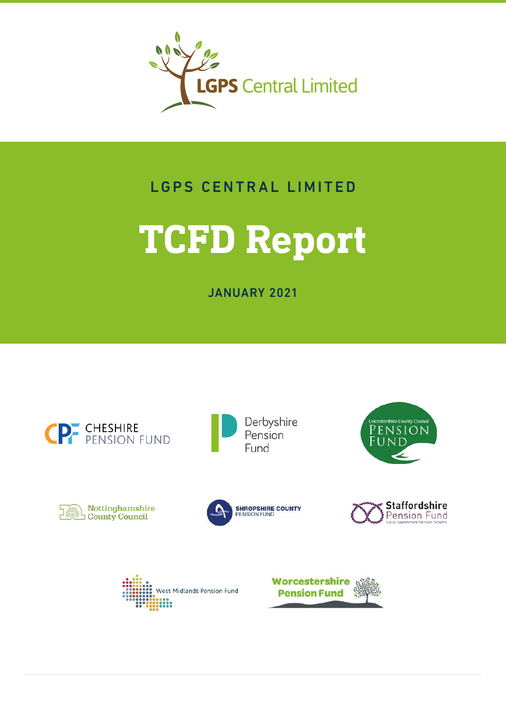

## LGPS CENTRAL LIMITED

# **TCFD Report**

JANUARY 2021





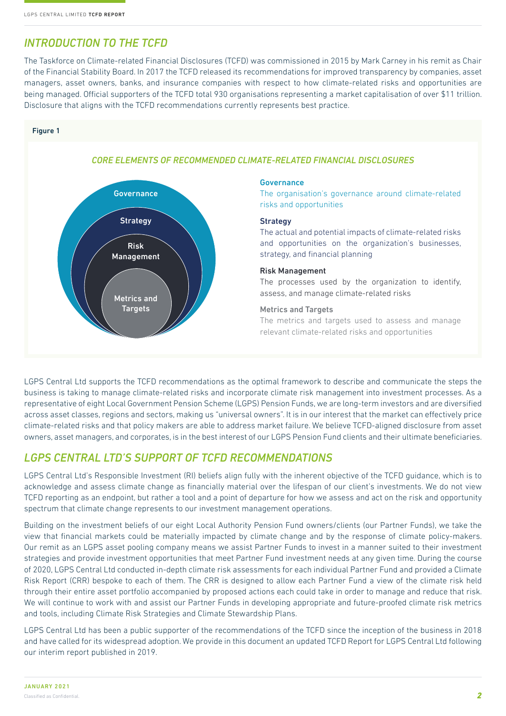## *INTRODUCTION TO THE TCFD*

The Taskforce on Climate-related Financial Disclosures (TCFD) was commissioned in 2015 by Mark Carney in his remit as Chair of the Financial Stability Board. In 2017 the TCFD released its recommendations for improved transparency by companies, asset managers, asset owners, banks, and insurance companies with respect to how climate-related risks and opportunities are being managed. Official supporters of the TCFD total 930 organisations representing a market capitalisation of over \$11 trillion. Disclosure that aligns with the TCFD recommendations currently represents best practice.

#### Figure 1



#### *CORE ELEMENTS OF RECOMMENDED CLIMATE-RELATED FINANCIAL DISCLOSURES*

#### Governance

The organisation's governance around climate-related risks and opportunities

#### **Strategy**

The actual and potential impacts of climate-related risks and opportunities on the organization's businesses, strategy, and financial planning

#### Risk Management

The processes used by the organization to identify, assess, and manage climate-related risks

#### Metrics and Targets

The metrics and targets used to assess and manage relevant climate-related risks and opportunities

LGPS Central Ltd supports the TCFD recommendations as the optimal framework to describe and communicate the steps the business is taking to manage climate-related risks and incorporate climate risk management into investment processes. As a representative of eight Local Government Pension Scheme (LGPS) Pension Funds, we are long-term investors and are diversified across asset classes, regions and sectors, making us "universal owners". It is in our interest that the market can effectively price climate-related risks and that policy makers are able to address market failure. We believe TCFD-aligned disclosure from asset owners, asset managers, and corporates, is in the best interest of our LGPS Pension Fund clients and their ultimate beneficiaries.

## *LGPS CENTRAL LTD'S SUPPORT OF TCFD RECOMMENDATIONS*

LGPS Central Ltd's Responsible Investment (RI) beliefs align fully with the inherent objective of the TCFD guidance, which is to acknowledge and assess climate change as financially material over the lifespan of our client's investments. We do not view TCFD reporting as an endpoint, but rather a tool and a point of departure for how we assess and act on the risk and opportunity spectrum that climate change represents to our investment management operations.

Building on the investment beliefs of our eight Local Authority Pension Fund owners/clients (our Partner Funds), we take the view that financial markets could be materially impacted by climate change and by the response of climate policy-makers. Our remit as an LGPS asset pooling company means we assist Partner Funds to invest in a manner suited to their investment strategies and provide investment opportunities that meet Partner Fund investment needs at any given time. During the course of 2020, LGPS Central Ltd conducted in-depth climate risk assessments for each individual Partner Fund and provided a Climate Risk Report (CRR) bespoke to each of them. The CRR is designed to allow each Partner Fund a view of the climate risk held through their entire asset portfolio accompanied by proposed actions each could take in order to manage and reduce that risk. We will continue to work with and assist our Partner Funds in developing appropriate and future-proofed climate risk metrics and tools, including Climate Risk Strategies and Climate Stewardship Plans.

LGPS Central Ltd has been a public supporter of the recommendations of the TCFD since the inception of the business in 2018 and have called for its widespread adoption. We provide in this document an updated TCFD Report for LGPS Central Ltd following our interim report published in 2019.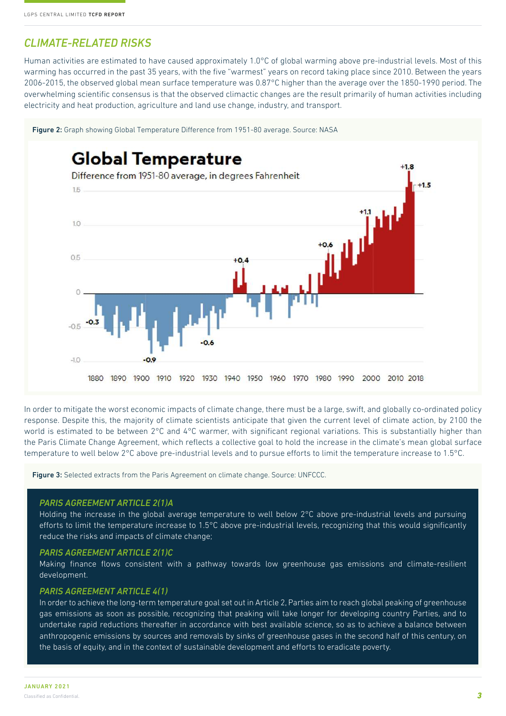## *CLIMATE-RELATED RISKS*

Human activities are estimated to have caused approximately 1.0°C of global warming above pre-industrial levels. Most of this warming has occurred in the past 35 years, with the five "warmest" years on record taking place since 2010. Between the years 2006-2015, the observed global mean surface temperature was 0.87°C higher than the average over the 1850-1990 period. The overwhelming scientific consensus is that the observed climactic changes are the result primarily of human activities including electricity and heat production, agriculture and land use change, industry, and transport.



In order to mitigate the worst economic impacts of climate change, there must be a large, swift, and globally co-ordinated policy response. Despite this, the majority of climate scientists anticipate that given the current level of climate action, by 2100 the world is estimated to be between 2°C and 4°C warmer, with significant regional variations. This is substantially higher than the Paris Climate Change Agreement, which reflects a collective goal to hold the increase in the climate's mean global surface temperature to well below 2°C above pre-industrial levels and to pursue efforts to limit the temperature increase to 1.5°C.

Figure 3: Selected extracts from the Paris Agreement on climate change. Source: UNFCCC.

#### *PARIS AGREEMENT ARTICLE 2(1)A*

Holding the increase in the global average temperature to well below 2°C above pre-industrial levels and pursuing efforts to limit the temperature increase to 1.5°C above pre-industrial levels, recognizing that this would significantly reduce the risks and impacts of climate change;

#### *PARIS AGREEMENT ARTICLE 2(1)C*

Making finance flows consistent with a pathway towards low greenhouse gas emissions and climate-resilient development.

#### *PARIS AGREEMENT ARTICLE 4(1)*

In order to achieve the long-term temperature goal set out in Article 2, Parties aim to reach global peaking of greenhouse gas emissions as soon as possible, recognizing that peaking will take longer for developing country Parties, and to undertake rapid reductions thereafter in accordance with best available science, so as to achieve a balance between anthropogenic emissions by sources and removals by sinks of greenhouse gases in the second half of this century, on the basis of equity, and in the context of sustainable development and efforts to eradicate poverty.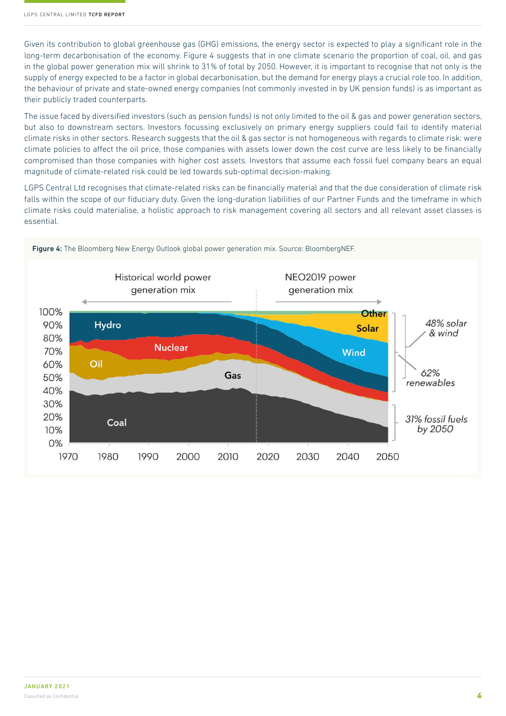Given its contribution to global greenhouse gas (GHG) emissions, the energy sector is expected to play a significant role in the long-term decarbonisation of the economy. Figure 4 suggests that in one climate scenario the proportion of coal, oil, and gas in the global power generation mix will shrink to 31% of total by 2050. However, it is important to recognise that not only is the supply of energy expected to be a factor in global decarbonisation, but the demand for energy plays a crucial role too. In addition, the behaviour of private and state-owned energy companies (not commonly invested in by UK pension funds) is as important as their publicly traded counterparts.

The issue faced by diversified investors (such as pension funds) is not only limited to the oil & gas and power generation sectors, but also to downstream sectors. Investors focussing exclusively on primary energy suppliers could fail to identify material climate risks in other sectors. Research suggests that the oil & gas sector is not homogeneous with regards to climate risk: were climate policies to affect the oil price, those companies with assets lower down the cost curve are less likely to be financially compromised than those companies with higher cost assets. Investors that assume each fossil fuel company bears an equal magnitude of climate-related risk could be led towards sub-optimal decision-making.

LGPS Central Ltd recognises that climate-related risks can be financially material and that the due consideration of climate risk falls within the scope of our fiduciary duty. Given the long-duration liabilities of our Partner Funds and the timeframe in which climate risks could materialise, a holistic approach to risk management covering all sectors and all relevant asset classes is essential.

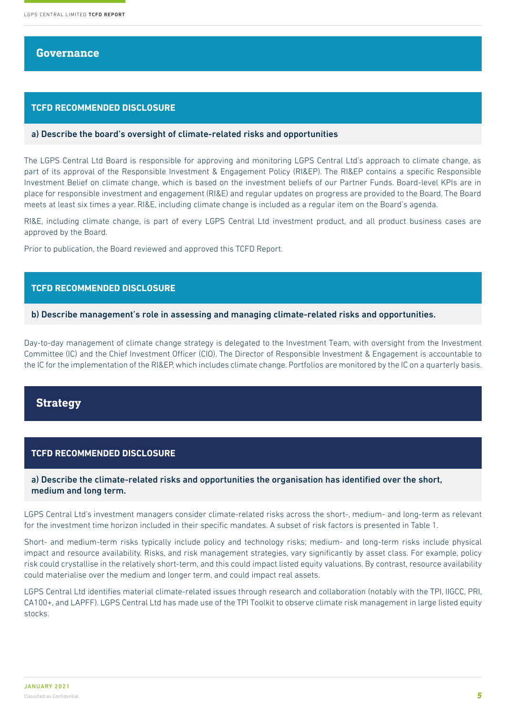#### **Governance**

#### **TCFD RECOMMENDED DISCLOSURE**

#### a) Describe the board's oversight of climate-related risks and opportunities

The LGPS Central Ltd Board is responsible for approving and monitoring LGPS Central Ltd's approach to climate change, as part of its approval of the Responsible Investment & Engagement Policy (RI&EP). The RI&EP contains a specific Responsible Investment Belief on climate change, which is based on the investment beliefs of our Partner Funds. Board-level KPIs are in place for responsible investment and engagement (RI&E) and regular updates on progress are provided to the Board. The Board meets at least six times a year. RI&E, including climate change is included as a regular item on the Board's agenda.

RI&E, including climate change, is part of every LGPS Central Ltd investment product, and all product business cases are approved by the Board.

Prior to publication, the Board reviewed and approved this TCFD Report.

#### **TCFD RECOMMENDED DISCLOSURE**

#### b) Describe management's role in assessing and managing climate-related risks and opportunities.

Day-to-day management of climate change strategy is delegated to the Investment Team, with oversight from the Investment Committee (IC) and the Chief Investment Officer (CIO). The Director of Responsible Investment & Engagement is accountable to the IC for the implementation of the RI&EP, which includes climate change. Portfolios are monitored by the IC on a quarterly basis.

#### **Strategy**

#### **TCFD RECOMMENDED DISCLOSURE**

#### a) Describe the climate-related risks and opportunities the organisation has identified over the short, medium and long term.

LGPS Central Ltd's investment managers consider climate-related risks across the short-, medium- and long-term as relevant for the investment time horizon included in their specific mandates. A subset of risk factors is presented in Table 1.

Short- and medium-term risks typically include policy and technology risks; medium- and long-term risks include physical impact and resource availability. Risks, and risk management strategies, vary significantly by asset class. For example, policy risk could crystallise in the relatively short-term, and this could impact listed equity valuations. By contrast, resource availability could materialise over the medium and longer term, and could impact real assets.

LGPS Central Ltd identifies material climate-related issues through research and collaboration (notably with the TPI, IIGCC, PRI, CA100+, and LAPFF). LGPS Central Ltd has made use of the TPI Toolkit to observe climate risk management in large listed equity stocks.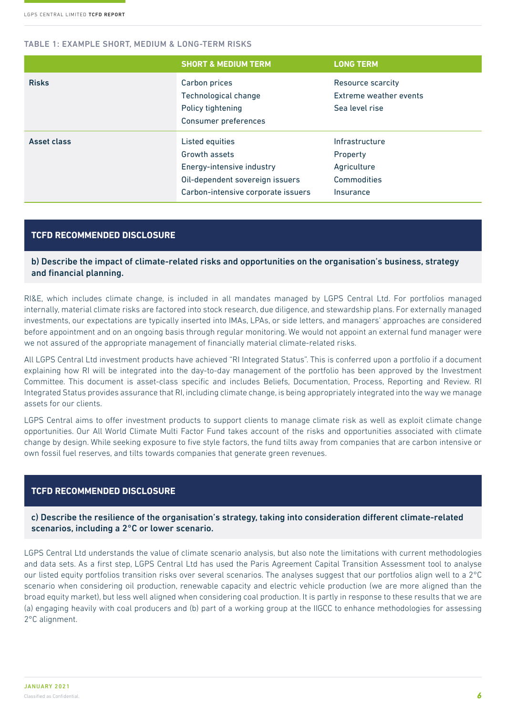#### TABLE 1: EXAMPLE SHORT, MEDIUM & LONG-TERM RISKS

|              | <b>SHORT &amp; MEDIUM TERM</b>                                                                                                         | <b>LONG TERM</b>                                                      |
|--------------|----------------------------------------------------------------------------------------------------------------------------------------|-----------------------------------------------------------------------|
| <b>Risks</b> | Carbon prices<br>Technological change<br>Policy tightening<br>Consumer preferences                                                     | Resource scarcity<br>Extreme weather events<br>Sea level rise         |
| Asset class  | Listed equities<br>Growth assets<br>Energy-intensive industry<br>Oil-dependent sovereign issuers<br>Carbon-intensive corporate issuers | Infrastructure<br>Property<br>Agriculture<br>Commodities<br>Insurance |

#### **TCFD RECOMMENDED DISCLOSURE**

#### b) Describe the impact of climate-related risks and opportunities on the organisation's business, strategy and financial planning.

RI&E, which includes climate change, is included in all mandates managed by LGPS Central Ltd. For portfolios managed internally, material climate risks are factored into stock research, due diligence, and stewardship plans. For externally managed investments, our expectations are typically inserted into IMAs, LPAs, or side letters, and managers' approaches are considered before appointment and on an ongoing basis through regular monitoring. We would not appoint an external fund manager were we not assured of the appropriate management of financially material climate-related risks.

All LGPS Central Ltd investment products have achieved "RI Integrated Status". This is conferred upon a portfolio if a document explaining how RI will be integrated into the day-to-day management of the portfolio has been approved by the Investment Committee. This document is asset-class specific and includes Beliefs, Documentation, Process, Reporting and Review. RI Integrated Status provides assurance that RI, including climate change, is being appropriately integrated into the way we manage assets for our clients.

LGPS Central aims to offer investment products to support clients to manage climate risk as well as exploit climate change opportunities. Our All World Climate Multi Factor Fund takes account of the risks and opportunities associated with climate change by design. While seeking exposure to five style factors, the fund tilts away from companies that are carbon intensive or own fossil fuel reserves, and tilts towards companies that generate green revenues.

#### **TCFD RECOMMENDED DISCLOSURE**

c) Describe the resilience of the organisation's strategy, taking into consideration different climate-related scenarios, including a 2°C or lower scenario.

LGPS Central Ltd understands the value of climate scenario analysis, but also note the limitations with current methodologies and data sets. As a first step, LGPS Central Ltd has used the Paris Agreement Capital Transition Assessment tool to analyse our listed equity portfolios transition risks over several scenarios. The analyses suggest that our portfolios align well to a 2°C scenario when considering oil production, renewable capacity and electric vehicle production (we are more aligned than the broad equity market), but less well aligned when considering coal production. It is partly in response to these results that we are (a) engaging heavily with coal producers and (b) part of a working group at the IIGCC to enhance methodologies for assessing 2°C alignment.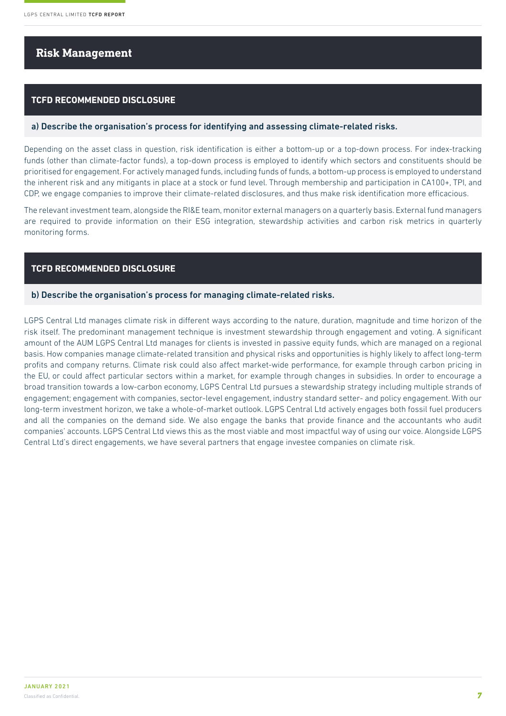### **Risk Management**

#### **TCFD RECOMMENDED DISCLOSURE**

#### a) Describe the organisation's process for identifying and assessing climate-related risks.

Depending on the asset class in question, risk identification is either a bottom-up or a top-down process. For index-tracking funds (other than climate-factor funds), a top-down process is employed to identify which sectors and constituents should be prioritised for engagement. For actively managed funds, including funds of funds, a bottom-up process is employed to understand the inherent risk and any mitigants in place at a stock or fund level. Through membership and participation in CA100+, TPI, and CDP, we engage companies to improve their climate-related disclosures, and thus make risk identification more efficacious.

The relevant investment team, alongside the RI&E team, monitor external managers on a quarterly basis. External fund managers are required to provide information on their ESG integration, stewardship activities and carbon risk metrics in quarterly monitoring forms.

#### **TCFD RECOMMENDED DISCLOSURE**

#### b) Describe the organisation's process for managing climate-related risks.

LGPS Central Ltd manages climate risk in different ways according to the nature, duration, magnitude and time horizon of the risk itself. The predominant management technique is investment stewardship through engagement and voting. A significant amount of the AUM LGPS Central Ltd manages for clients is invested in passive equity funds, which are managed on a regional basis. How companies manage climate-related transition and physical risks and opportunities is highly likely to affect long-term profits and company returns. Climate risk could also affect market-wide performance, for example through carbon pricing in the EU, or could affect particular sectors within a market, for example through changes in subsidies. In order to encourage a broad transition towards a low-carbon economy, LGPS Central Ltd pursues a stewardship strategy including multiple strands of engagement; engagement with companies, sector-level engagement, industry standard setter- and policy engagement. With our long-term investment horizon, we take a whole-of-market outlook. LGPS Central Ltd actively engages both fossil fuel producers and all the companies on the demand side. We also engage the banks that provide finance and the accountants who audit companies' accounts. LGPS Central Ltd views this as the most viable and most impactful way of using our voice. Alongside LGPS Central Ltd's direct engagements, we have several partners that engage investee companies on climate risk.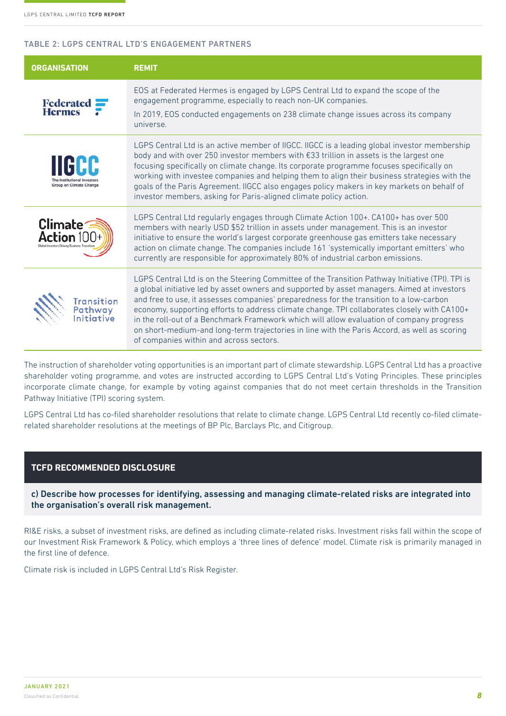#### TABLE 2: LGPS CENTRAL LTD'S ENGAGEMENT PARTNERS

| <b>ORGANISATION</b>                                                                                                                                                                                                                                                                      | <b>REMIT</b>                                                                                                                                                                                                                                                                                                                                                                                                                                                                                                                                                                                                                     |  |
|------------------------------------------------------------------------------------------------------------------------------------------------------------------------------------------------------------------------------------------------------------------------------------------|----------------------------------------------------------------------------------------------------------------------------------------------------------------------------------------------------------------------------------------------------------------------------------------------------------------------------------------------------------------------------------------------------------------------------------------------------------------------------------------------------------------------------------------------------------------------------------------------------------------------------------|--|
| EOS at Federated Hermes is engaged by LGPS Central Ltd to expand the scope of the<br>engagement programme, especially to reach non-UK companies.<br><b>Federated</b><br><b>Hermes</b><br>In 2019, EOS conducted engagements on 238 climate change issues across its company<br>universe. |                                                                                                                                                                                                                                                                                                                                                                                                                                                                                                                                                                                                                                  |  |
| Group on Climate Change                                                                                                                                                                                                                                                                  | LGPS Central Ltd is an active member of IIGCC. IIGCC is a leading global investor membership<br>body and with over 250 investor members with $\epsilon$ 33 trillion in assets is the largest one<br>focusing specifically on climate change. Its corporate programme focuses specifically on<br>working with investee companies and helping them to align their business strategies with the<br>goals of the Paris Agreement. IIGCC also engages policy makers in key markets on behalf of<br>investor members, asking for Paris-aligned climate policy action.                                                                  |  |
| Climate <sup>-</sup>                                                                                                                                                                                                                                                                     | LGPS Central Ltd regularly engages through Climate Action 100+. CA100+ has over 500<br>members with nearly USD \$52 trillion in assets under management. This is an investor<br>initiative to ensure the world's largest corporate greenhouse gas emitters take necessary<br>action on climate change. The companies include 161 'systemically important emitters' who<br>currently are responsible for approximately 80% of industrial carbon emissions.                                                                                                                                                                        |  |
| Transition<br>Pathway<br>Initiative                                                                                                                                                                                                                                                      | LGPS Central Ltd is on the Steering Committee of the Transition Pathway Initiative (TPI). TPI is<br>a global initiative led by asset owners and supported by asset managers. Aimed at investors<br>and free to use, it assesses companies' preparedness for the transition to a low-carbon<br>economy, supporting efforts to address climate change. TPI collaborates closely with CA100+<br>in the roll-out of a Benchmark Framework which will allow evaluation of company progress<br>on short-medium-and long-term trajectories in line with the Paris Accord, as well as scoring<br>of companies within and across sectors. |  |

The instruction of shareholder voting opportunities is an important part of climate stewardship. LGPS Central Ltd has a proactive shareholder voting programme, and votes are instructed according to LGPS Central Ltd's Voting Principles. These principles incorporate climate change, for example by voting against companies that do not meet certain thresholds in the Transition Pathway Initiative (TPI) scoring system.

LGPS Central Ltd has co-filed shareholder resolutions that relate to climate change. LGPS Central Ltd recently co-filed climaterelated shareholder resolutions at the meetings of BP Plc, Barclays Plc, and Citigroup.

#### **TCFD RECOMMENDED DISCLOSURE**

c) Describe how processes for identifying, assessing and managing climate-related risks are integrated into the organisation's overall risk management.

RI&E risks, a subset of investment risks, are defined as including climate-related risks. Investment risks fall within the scope of our Investment Risk Framework & Policy, which employs a 'three lines of defence' model. Climate risk is primarily managed in the first line of defence.

Climate risk is included in LGPS Central Ltd's Risk Register.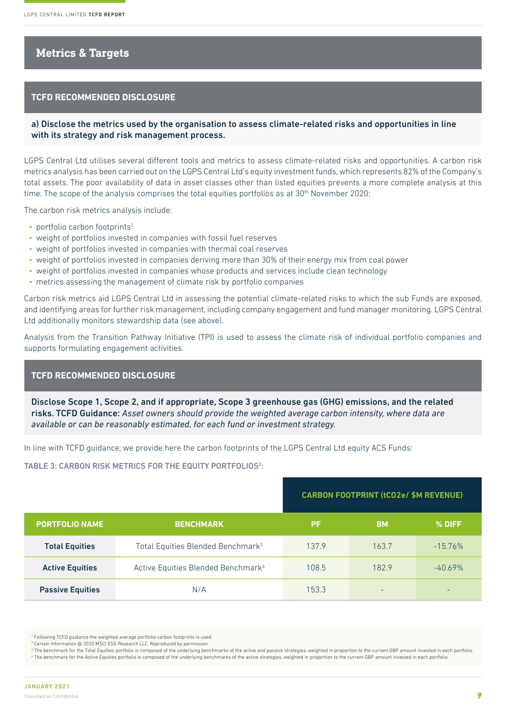## **Metrics & Targets**

#### **TCFD RECOMMENDED DISCLOSURE**

a) Disclose the metrics used by the organisation to assess climate-related risks and opportunities in line with its strategy and risk management process.

LGPS Central Ltd utilises several different tools and metrics to assess climate-related risks and opportunities. A carbon risk metrics analysis has been carried out on the LGPS Central Ltd's equity investment funds, which represents 82% of the Company's total assets. The poor availability of data in asset classes other than listed equities prevents a more complete analysis at this time. The scope of the analysis comprises the total equities portfolios as at  $30<sup>th</sup>$  November 2020:

The carbon risk metrics analysis include:

- portfolio carbon footprints<sup>1</sup>
- weight of portfolios invested in companies with fossil fuel reserves
- weight of portfolios invested in companies with thermal coal reserves
- weight of portfolios invested in companies deriving more than 30% of their energy mix from coal power
- weight of portfolios invested in companies whose products and services include clean technology
- metrics assessing the management of climate risk by portfolio companies

Carbon risk metrics aid LGPS Central Ltd in assessing the potential climate-related risks to which the sub Funds are exposed, and identifying areas for further risk management, including company engagement and fund manager monitoring. LGPS Central Ltd additionally monitors stewardship data (see above).

Analysis from the Transition Pathway Initiative (TPI) is used to assess the climate risk of individual portfolio companies and supports formulating engagement activities.

#### **TCFD RECOMMENDED DISCLOSURE**

Disclose Scope 1, Scope 2, and if appropriate, Scope 3 greenhouse gas (GHG) emissions, and the related risks. TCFD Guidance: *Asset owners should provide the weighted average carbon intensity, where data are available or can be reasonably estimated, for each fund or investment strategy.*

In line with TCFD guidance, we provide here the carbon footprints of the LGPS Central Ltd equity ACS Funds:

TABLE 3: CARBON RISK METRICS FOR THE EQUITY PORTFOLIOS<sup>2</sup>:

|                                |                                                | <b>CARBON FOOTPRINT (tCO2e/ \$M REVENUE)</b> |           |           |  |  |  |
|--------------------------------|------------------------------------------------|----------------------------------------------|-----------|-----------|--|--|--|
| <b>PORTFOLIO NAME</b>          | <b>BENCHMARK</b>                               | <b>PF</b>                                    | <b>BM</b> | % DIFF    |  |  |  |
| <b>Total Equities</b>          | Total Equities Blended Benchmark <sup>3</sup>  | 137.9                                        | 163.7     | $-15.76%$ |  |  |  |
| <b>Active Equities</b>         | Active Equities Blended Benchmark <sup>4</sup> | 108.5                                        | 182.9     | $-40.69%$ |  |  |  |
| N/A<br><b>Passive Equities</b> |                                                | 153.3                                        | $-$       | -         |  |  |  |

<sup>&</sup>lt;sup>1</sup> Following TCFD guidance the weighted average portfolio carbon footprints is used.

2 Certain Information @ 2020 MSCI ESG Research LLC. Reproduced by permission.

 $^3$  The benchmark for the Total Equities portfolio is composed of the underlying benchmarks of the active and passive strategies, weighted in proportion to the current GBP amount invested in each portfolio. 4 The benchmark for the Active Equities portfolio is composed of the underlying benchmarks of the active strategies, weighted in proportion to the current GBP amount invested in each portfolio.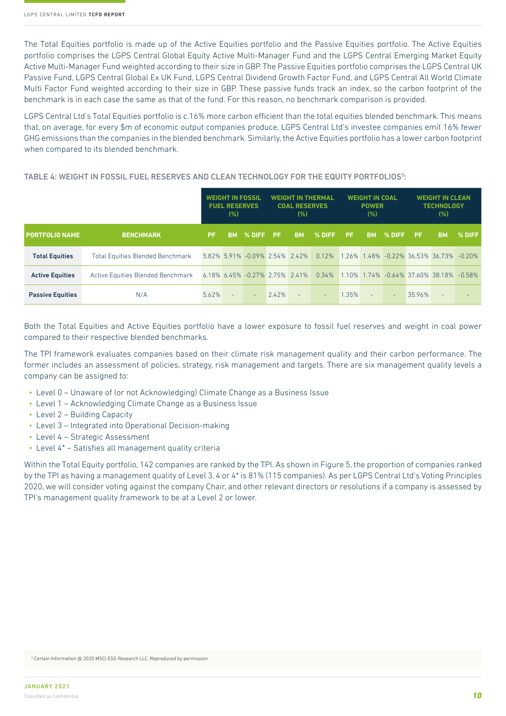The Total Equities portfolio is made up of the Active Equities portfolio and the Passive Equities portfolio. The Active Equities portfolio comprises the LGPS Central Global Equity Active Multi-Manager Fund and the LGPS Central Emerging Market Equity Active Multi-Manager Fund weighted according to their size in GBP. The Passive Equities portfolio comprises the LGPS Central UK Passive Fund, LGPS Central Global Ex UK Fund, LGPS Central Dividend Growth Factor Fund, and LGPS Central All World Climate Multi Factor Fund weighted according to their size in GBP. These passive funds track an index, so the carbon footprint of the benchmark is in each case the same as that of the fund. For this reason, no benchmark comparison is provided.

LGPS Central Ltd's Total Equities portfolio is c.16% more carbon efficient than the total equities blended benchmark. This means that, on average, for every \$m of economic output companies produce, LGPS Central Ltd's investee companies emit 16% fewer GHG emissions than the companies in the blended benchmark. Similarly, the Active Equities portfolio has a lower carbon footprint when compared to its blended benchmark.

#### TABLE 4: WEIGHT IN FOSSIL FUEL RESERVES AND CLEAN TECHNOLOGY FOR THE EQUITY PORTFOLIOS<sup>5</sup>:

|                         |                                         | <b>WEIGHT IN FOSSIL</b><br><b>FUEL RESERVES</b><br>(%) |                          | WEIGHT IN THERMAL<br><b>COAL RESERVES</b><br>(%) |       | <b>WEIGHT IN COAL</b><br><b>POWER</b><br>(% ) |           | <b>WEIGHT IN CLEAN</b><br><b>TECHNOLOGY</b><br>(%) |           |          |        |                                         |        |
|-------------------------|-----------------------------------------|--------------------------------------------------------|--------------------------|--------------------------------------------------|-------|-----------------------------------------------|-----------|----------------------------------------------------|-----------|----------|--------|-----------------------------------------|--------|
| <b>PORTFOLIO NAME</b>   | <b>BENCHMARK</b>                        | <b>PF</b>                                              | <b>BM</b>                | I % DIFF '                                       | -PF.  | <b>BM</b>                                     | I % DIFF' | <b>PF</b>                                          | <b>BM</b> | % DIFF   | / PF / | <b>BM</b>                               | % DIFF |
| <b>Total Equities</b>   | <b>Total Equities Blended Benchmark</b> |                                                        |                          | 5.82% 5.91% -0.09% 2.54% 2.42%                   |       |                                               | 0.12%     |                                                    |           |          |        | 1.26% 1.48% -0.22% 36.53% 36.73% -0.20% |        |
| <b>Active Equities</b>  | Active Equities Blended Benchmark       |                                                        |                          | 6.18% 6.45% -0.27% 2.75% 2.41%                   |       |                                               | 0.34%     |                                                    |           |          |        | 1.10% 1.74% -0.64% 37.60% 38.18% -0.58% |        |
| <b>Passive Equities</b> | N/A                                     | 5.62%                                                  | $\overline{\phantom{m}}$ | $\sim$                                           | 2.42% | $\sim$                                        | $\sim$    | 1.35%                                              |           | $\equiv$ | 35.96% | $\frac{1}{2}$                           |        |

Both the Total Equities and Active Equities portfolio have a lower exposure to fossil fuel reserves and weight in coal power compared to their respective blended benchmarks.

The TPI framework evaluates companies based on their climate risk management quality and their carbon performance. The former includes an assessment of policies, strategy, risk management and targets. There are six management quality levels a company can be assigned to:

- Level 0 Unaware of (or not Acknowledging) Climate Change as a Business Issue
- Level 1 Acknowledging Climate Change as a Business Issue
- Level 2 Building Capacity
- Level 3 Integrated into Operational Decision-making
- Level 4 Strategic Assessment
- Level 4\* Satisfies all management quality criteria

Within the Total Equity portfolio, 142 companies are ranked by the TPI. As shown in Figure 5, the proportion of companies ranked by the TPI as having a management quality of Level 3, 4 or 4\* is 81% (115 companies). As per LGPS Central Ltd's Voting Principles 2020, we will consider voting against the company Chair, and other relevant directors or resolutions if a company is assessed by TPI's management quality framework to be at a Level 2 or lower.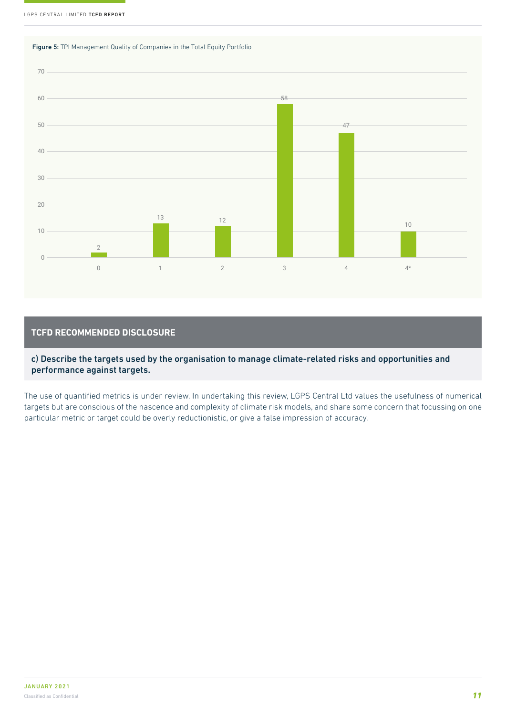



#### **TCFD RECOMMENDED DISCLOSURE**

c) Describe the targets used by the organisation to manage climate-related risks and opportunities and performance against targets.

The use of quantified metrics is under review. In undertaking this review, LGPS Central Ltd values the usefulness of numerical targets but are conscious of the nascence and complexity of climate risk models, and share some concern that focussing on one particular metric or target could be overly reductionistic, or give a false impression of accuracy.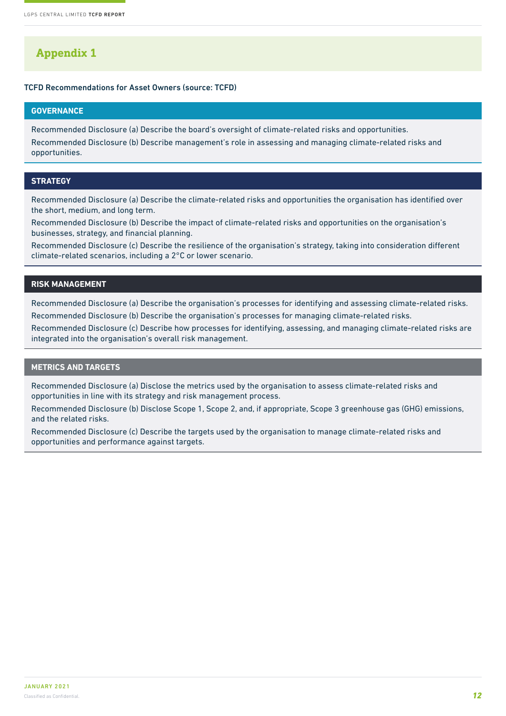## **Appendix 1**

#### TCFD Recommendations for Asset Owners (source: TCFD)

#### **GOVERNANCE**

Recommended Disclosure (a) Describe the board's oversight of climate-related risks and opportunities.

Recommended Disclosure (b) Describe management's role in assessing and managing climate-related risks and opportunities.

#### **STRATEGY**

Recommended Disclosure (a) Describe the climate-related risks and opportunities the organisation has identified over the short, medium, and long term.

Recommended Disclosure (b) Describe the impact of climate-related risks and opportunities on the organisation's businesses, strategy, and financial planning.

Recommended Disclosure (c) Describe the resilience of the organisation's strategy, taking into consideration different climate-related scenarios, including a 2°C or lower scenario.

#### **RISK MANAGEMENT**

Recommended Disclosure (a) Describe the organisation's processes for identifying and assessing climate-related risks.

Recommended Disclosure (b) Describe the organisation's processes for managing climate-related risks.

Recommended Disclosure (c) Describe how processes for identifying, assessing, and managing climate-related risks are integrated into the organisation's overall risk management.

#### **METRICS AND TARGETS**

Recommended Disclosure (a) Disclose the metrics used by the organisation to assess climate-related risks and opportunities in line with its strategy and risk management process.

Recommended Disclosure (b) Disclose Scope 1, Scope 2, and, if appropriate, Scope 3 greenhouse gas (GHG) emissions, and the related risks.

Recommended Disclosure (c) Describe the targets used by the organisation to manage climate-related risks and opportunities and performance against targets.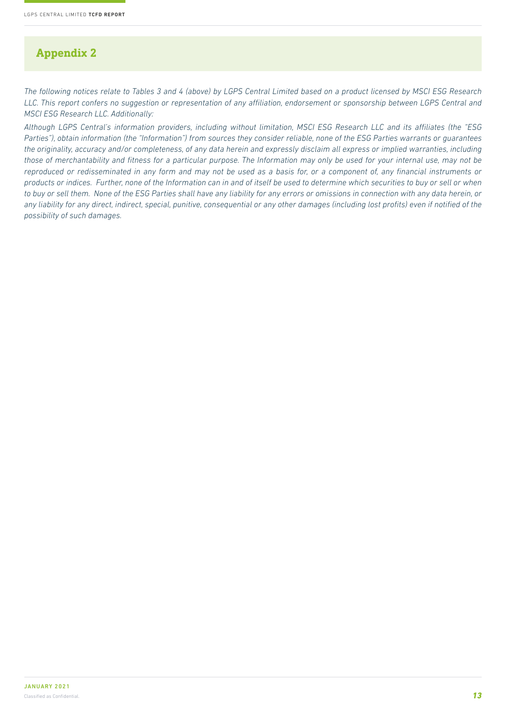## **Appendix 2**

*The following notices relate to Tables 3 and 4 (above) by LGPS Central Limited based on a product licensed by MSCI ESG Research LLC. This report confers no suggestion or representation of any affiliation, endorsement or sponsorship between LGPS Central and MSCI ESG Research LLC. Additionally:*

*Although LGPS Central's information providers, including without limitation, MSCI ESG Research LLC and its affiliates (the "ESG Parties"), obtain information (the "Information") from sources they consider reliable, none of the ESG Parties warrants or guarantees the originality, accuracy and/or completeness, of any data herein and expressly disclaim all express or implied warranties, including those of merchantability and fitness for a particular purpose. The Information may only be used for your internal use, may not be reproduced or redisseminated in any form and may not be used as a basis for, or a component of, any financial instruments or products or indices. Further, none of the Information can in and of itself be used to determine which securities to buy or sell or when to buy or sell them. None of the ESG Parties shall have any liability for any errors or omissions in connection with any data herein, or any liability for any direct, indirect, special, punitive, consequential or any other damages (including lost profits) even if notified of the possibility of such damages.*